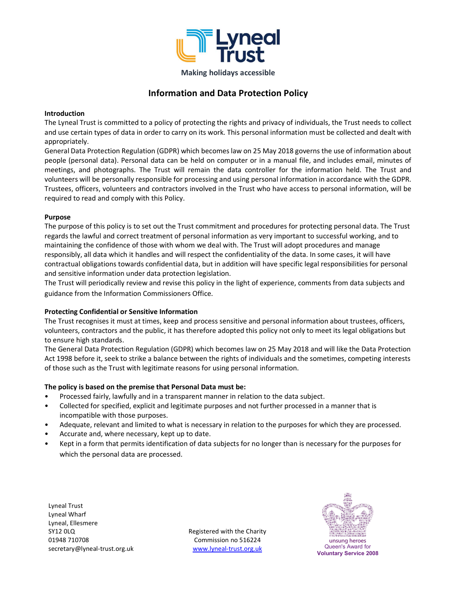

# Information and Data Protection Policy

#### Introduction

The Lyneal Trust is committed to a policy of protecting the rights and privacy of individuals, the Trust needs to collect and use certain types of data in order to carry on its work. This personal information must be collected and dealt with appropriately.

General Data Protection Regulation (GDPR) which becomes law on 25 May 2018 governs the use of information about people (personal data). Personal data can be held on computer or in a manual file, and includes email, minutes of meetings, and photographs. The Trust will remain the data controller for the information held. The Trust and volunteers will be personally responsible for processing and using personal information in accordance with the GDPR. Trustees, officers, volunteers and contractors involved in the Trust who have access to personal information, will be required to read and comply with this Policy.

#### Purpose

The purpose of this policy is to set out the Trust commitment and procedures for protecting personal data. The Trust regards the lawful and correct treatment of personal information as very important to successful working, and to maintaining the confidence of those with whom we deal with. The Trust will adopt procedures and manage responsibly, all data which it handles and will respect the confidentiality of the data. In some cases, it will have contractual obligations towards confidential data, but in addition will have specific legal responsibilities for personal and sensitive information under data protection legislation.

The Trust will periodically review and revise this policy in the light of experience, comments from data subjects and guidance from the Information Commissioners Office.

#### Protecting Confidential or Sensitive Information

The Trust recognises it must at times, keep and process sensitive and personal information about trustees, officers, volunteers, contractors and the public, it has therefore adopted this policy not only to meet its legal obligations but to ensure high standards.

The General Data Protection Regulation (GDPR) which becomes law on 25 May 2018 and will like the Data Protection Act 1998 before it, seek to strike a balance between the rights of individuals and the sometimes, competing interests of those such as the Trust with legitimate reasons for using personal information.

#### The policy is based on the premise that Personal Data must be:

- Processed fairly, lawfully and in a transparent manner in relation to the data subject.
- Collected for specified, explicit and legitimate purposes and not further processed in a manner that is incompatible with those purposes.
- Adequate, relevant and limited to what is necessary in relation to the purposes for which they are processed.
- Accurate and, where necessary, kept up to date.
- Kept in a form that permits identification of data subjects for no longer than is necessary for the purposes for which the personal data are processed.

Lyneal Trust Lyneal Wharf Lyneal, Ellesmere SY12 0LQ 01948 710708 secretary@lyneal-trust.org.uk

Registered with the Charity Commission no 516224 www.lyneal-trust.org.uk Queen's Award for



Voluntary Service 2008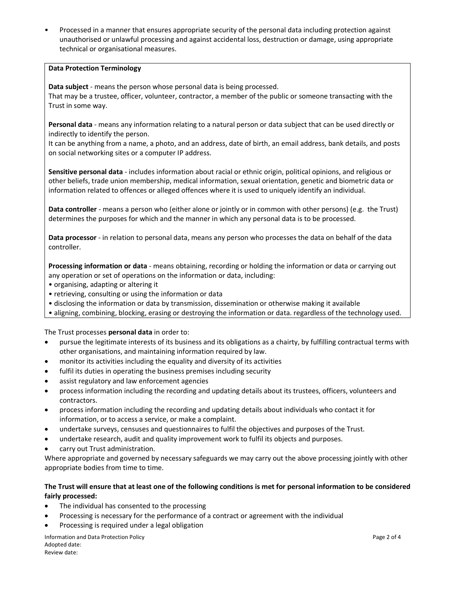• Processed in a manner that ensures appropriate security of the personal data including protection against unauthorised or unlawful processing and against accidental loss, destruction or damage, using appropriate technical or organisational measures.

### Data Protection Terminology

Data subject - means the person whose personal data is being processed. That may be a trustee, officer, volunteer, contractor, a member of the public or someone transacting with the Trust in some way.

Personal data - means any information relating to a natural person or data subject that can be used directly or indirectly to identify the person.

It can be anything from a name, a photo, and an address, date of birth, an email address, bank details, and posts on social networking sites or a computer IP address.

Sensitive personal data - includes information about racial or ethnic origin, political opinions, and religious or other beliefs, trade union membership, medical information, sexual orientation, genetic and biometric data or information related to offences or alleged offences where it is used to uniquely identify an individual.

Data controller - means a person who (either alone or jointly or in common with other persons) (e.g. the Trust) determines the purposes for which and the manner in which any personal data is to be processed.

Data processor - in relation to personal data, means any person who processes the data on behalf of the data controller.

Processing information or data - means obtaining, recording or holding the information or data or carrying out any operation or set of operations on the information or data, including:

- organising, adapting or altering it
- retrieving, consulting or using the information or data
- disclosing the information or data by transmission, dissemination or otherwise making it available
- aligning, combining, blocking, erasing or destroying the information or data. regardless of the technology used.

The Trust processes personal data in order to:

- pursue the legitimate interests of its business and its obligations as a chairty, by fulfilling contractual terms with other organisations, and maintaining information required by law.
- monitor its activities including the equality and diversity of its activities
- fulfil its duties in operating the business premises including security
- assist regulatory and law enforcement agencies
- process information including the recording and updating details about its trustees, officers, volunteers and contractors.
- process information including the recording and updating details about individuals who contact it for information, or to access a service, or make a complaint.
- undertake surveys, censuses and questionnaires to fulfil the objectives and purposes of the Trust.
- undertake research, audit and quality improvement work to fulfil its objects and purposes.
- carry out Trust administration.

Where appropriate and governed by necessary safeguards we may carry out the above processing jointly with other appropriate bodies from time to time.

## The Trust will ensure that at least one of the following conditions is met for personal information to be considered fairly processed:

- The individual has consented to the processing
- Processing is necessary for the performance of a contract or agreement with the individual
- Processing is required under a legal obligation

Information and Data Protection Policy **Page 2 of 4** and 2 of 4 Adopted date: Review date: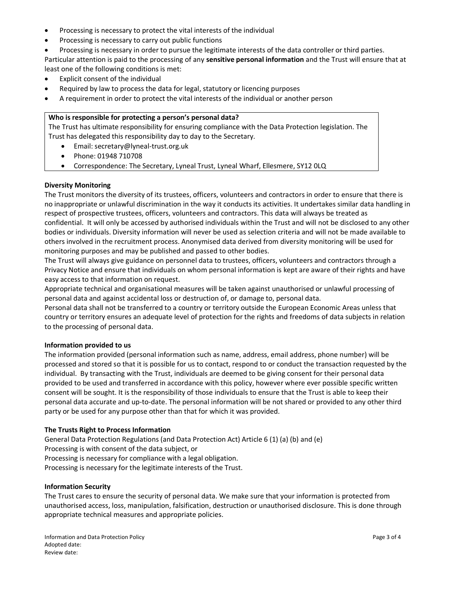- Processing is necessary to protect the vital interests of the individual
- Processing is necessary to carry out public functions
- Processing is necessary in order to pursue the legitimate interests of the data controller or third parties.

Particular attention is paid to the processing of any sensitive personal information and the Trust will ensure that at least one of the following conditions is met:

- Explicit consent of the individual
- Required by law to process the data for legal, statutory or licencing purposes
- A requirement in order to protect the vital interests of the individual or another person

#### Who is responsible for protecting a person's personal data?

The Trust has ultimate responsibility for ensuring compliance with the Data Protection legislation. The Trust has delegated this responsibility day to day to the Secretary.

- Email: secretary@lyneal-trust.org.uk
- Phone: 01948 710708
- Correspondence: The Secretary, Lyneal Trust, Lyneal Wharf, Ellesmere, SY12 0LQ

#### Diversity Monitoring

The Trust monitors the diversity of its trustees, officers, volunteers and contractors in order to ensure that there is no inappropriate or unlawful discrimination in the way it conducts its activities. It undertakes similar data handling in respect of prospective trustees, officers, volunteers and contractors. This data will always be treated as confidential. It will only be accessed by authorised individuals within the Trust and will not be disclosed to any other bodies or individuals. Diversity information will never be used as selection criteria and will not be made available to others involved in the recruitment process. Anonymised data derived from diversity monitoring will be used for monitoring purposes and may be published and passed to other bodies.

The Trust will always give guidance on personnel data to trustees, officers, volunteers and contractors through a Privacy Notice and ensure that individuals on whom personal information is kept are aware of their rights and have easy access to that information on request.

Appropriate technical and organisational measures will be taken against unauthorised or unlawful processing of personal data and against accidental loss or destruction of, or damage to, personal data.

Personal data shall not be transferred to a country or territory outside the European Economic Areas unless that country or territory ensures an adequate level of protection for the rights and freedoms of data subjects in relation to the processing of personal data.

#### Information provided to us

The information provided (personal information such as name, address, email address, phone number) will be processed and stored so that it is possible for us to contact, respond to or conduct the transaction requested by the individual. By transacting with the Trust, individuals are deemed to be giving consent for their personal data provided to be used and transferred in accordance with this policy, however where ever possible specific written consent will be sought. It is the responsibility of those individuals to ensure that the Trust is able to keep their personal data accurate and up-to-date. The personal information will be not shared or provided to any other third party or be used for any purpose other than that for which it was provided.

#### The Trusts Right to Process Information

General Data Protection Regulations (and Data Protection Act) Article 6 (1) (a) (b) and (e) Processing is with consent of the data subject, or Processing is necessary for compliance with a legal obligation. Processing is necessary for the legitimate interests of the Trust.

#### Information Security

The Trust cares to ensure the security of personal data. We make sure that your information is protected from unauthorised access, loss, manipulation, falsification, destruction or unauthorised disclosure. This is done through appropriate technical measures and appropriate policies.